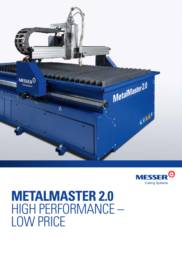



## **METALMASTER 2.0**  HIGH PERFORMANCE – LOW PRICE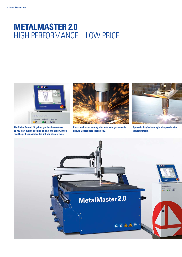## **METALMASTER 2.0**  HIGH PERFORMANCE – LOW PRICE



**The Global Control 2.0 guides you in all operations so you start cutting each job quickly and simply. If you need help, the support codes link you straight to us.**



**Precision Plasma cutting with automatic gas console allows Messer Hole Technology.**



**Optionally Oxyfuel cutting is also possible for heavier material.**

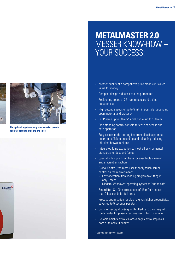## **leisten hohe Produktivität und Genauigkeit Leichtbauweise für hohe Schneidgeschwindigkeit und Best** MESSER KNOW-HOW – **Wartungsarme Konstruktion für langjährige - METALMASTER 2.0**  YOUR SUCCESS:

- Messer quality at a competitive price means unrivalled value for money
- Compact design reduces space requirements
- Positioning speed of 35 m/min reduces idle time between cuts
- High cutting speeds of up to 5 m/min possible (depending **furthermore, school and process)**
- For Plasma up to 50 mm<sup>\*</sup> and Oxyfuel up to 100 mm
- Free standing control console for ease of access and safe operation
- Easy access to the cutting bed from all sides permits quick and efficient unloading and reloading reducing idle time between plates
- Integrated fume extraction to meet all environmental standards for dust and fumes
- Specially designed slag trays for easy table cleaning and efficient extraction
- Global Control, the most user-friendly touch-screen control on the market means:
	- Easy operation, from loading program to cutting in only 3 steps
	- Modern, Windows<sup>®</sup> operating system so "future safe"
- SmartLifter SL100: stroke speed of 16 m/min so less than 0,5 seconds for full stroke
- Process optimisation for plasma gives higher productivity: saves up to 5 seconds per start
- Collision recognition (e.g. with tilted part) plus magnetic torch holder for plasma reduces risk of torch damage
- Reliable height control via arc-voltage control improves nozzle life and cut quality

\* depending on power supply



**The optional high frequency punch marker permits accurate marking of points and lines.**



∋